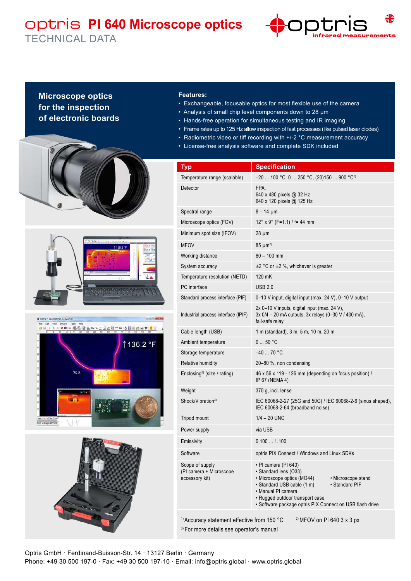## optris **PI 640 Microscope optics** TECHNICAL DATA



## **Microscope optics for the inspection of electronic boards**









## **Features:**

- Exchangeable, focusable optics for most flexible use of the camera
- Analysis of small chip level components down to 28 µm
- Hands-free operation for simultaneous testing and IR imaging
- Frame rates up to 125 Hz allow inspection of fast processes (like pulsed laser diodes)
- Radiometric video or tiff recording with +/-2 °C measurement accuracy
- License-free analysis software and complete SDK included

| <b>Typ</b>                                                                                                                                              | <b>Specification</b>                                                                                                                                                                                                                                                   |
|---------------------------------------------------------------------------------------------------------------------------------------------------------|------------------------------------------------------------------------------------------------------------------------------------------------------------------------------------------------------------------------------------------------------------------------|
| Temperature range (scalable)                                                                                                                            | –20  100 °C, 0  250 °C, (20)150  900 °C <sup>1)</sup>                                                                                                                                                                                                                  |
| Detector                                                                                                                                                | FPA,<br>640 x 480 pixels @ 32 Hz<br>640 x 120 pixels @ 125 Hz                                                                                                                                                                                                          |
| Spectral range                                                                                                                                          | $8 - 14 \mu m$                                                                                                                                                                                                                                                         |
| Microscope optics (FOV)                                                                                                                                 | $12^{\circ}$ x 9° (F=1.1) / f= 44 mm                                                                                                                                                                                                                                   |
| Minimum spot size (IFOV)                                                                                                                                | $28 \mu m$                                                                                                                                                                                                                                                             |
| <b>MFOV</b>                                                                                                                                             | $85 \mu m^{2}$                                                                                                                                                                                                                                                         |
| Working distance                                                                                                                                        | $80 - 100$ mm                                                                                                                                                                                                                                                          |
| System accuracy                                                                                                                                         | ±2 °C or ±2 %, whichever is greater                                                                                                                                                                                                                                    |
| Temperature resolution (NETD)                                                                                                                           | 120 mK                                                                                                                                                                                                                                                                 |
| PC interface                                                                                                                                            | <b>USB 2.0</b>                                                                                                                                                                                                                                                         |
| Standard process interface (PIF)                                                                                                                        | 0-10 V input, digital input (max. 24 V), 0-10 V output                                                                                                                                                                                                                 |
| Industrial process interface (IPIF)                                                                                                                     | 2x 0-10 V inputs, digital input (max. 24 V),<br>3x 0/4 - 20 mA outputs, 3x relays (0-30 V / 400 mA),<br>fail-safe relay                                                                                                                                                |
| Cable length (USB)                                                                                                                                      | 1 m (standard), 3 m, 5 m, 10 m, 20 m                                                                                                                                                                                                                                   |
| Ambient temperature                                                                                                                                     | 050 °C                                                                                                                                                                                                                                                                 |
| Storage temperature                                                                                                                                     | $-4070 °C$                                                                                                                                                                                                                                                             |
| Relative humidity                                                                                                                                       | 20-80 %, non condensing                                                                                                                                                                                                                                                |
| Enclosing <sup>3)</sup> (size / rating)                                                                                                                 | 46 x 56 x 119 - 126 mm (depending on focus position) /<br>IP 67 (NEMA 4)                                                                                                                                                                                               |
| Weight                                                                                                                                                  | 370 g, incl. lense                                                                                                                                                                                                                                                     |
| Shock/Vibration <sup>3)</sup>                                                                                                                           | IEC 60068-2-27 (25G and 50G) / IEC 60068-2-6 (sinus shaped),<br>IEC 60068-2-64 (broadband noise)                                                                                                                                                                       |
| Tripod mount                                                                                                                                            | $1/4 - 20$ UNC                                                                                                                                                                                                                                                         |
| Power supply                                                                                                                                            | via USB                                                                                                                                                                                                                                                                |
| Emissivity                                                                                                                                              | 0.1001.100                                                                                                                                                                                                                                                             |
| Software                                                                                                                                                | optris PIX Connect / Windows and Linux SDKs                                                                                                                                                                                                                            |
| Scope of supply<br>(PI camera + Microscope<br>accessory kit)                                                                                            | • PI camera (PI 640)<br>· Standard lens (O33)<br>• Microscope optics (MO44)<br>• Microscope stand<br>• Standard PIF<br>• Standard USB cable (1 m)<br>• Manual PI camera<br>• Rugged outdoor transport case<br>· Software package optris PIX Connect on USB flash drive |
| <sup>1)</sup> Accuracy statement effective from 150 °C<br><sup>2)</sup> MFOV on PI 640 3 x 3 px<br><sup>3)</sup> For more details see operator's manual |                                                                                                                                                                                                                                                                        |